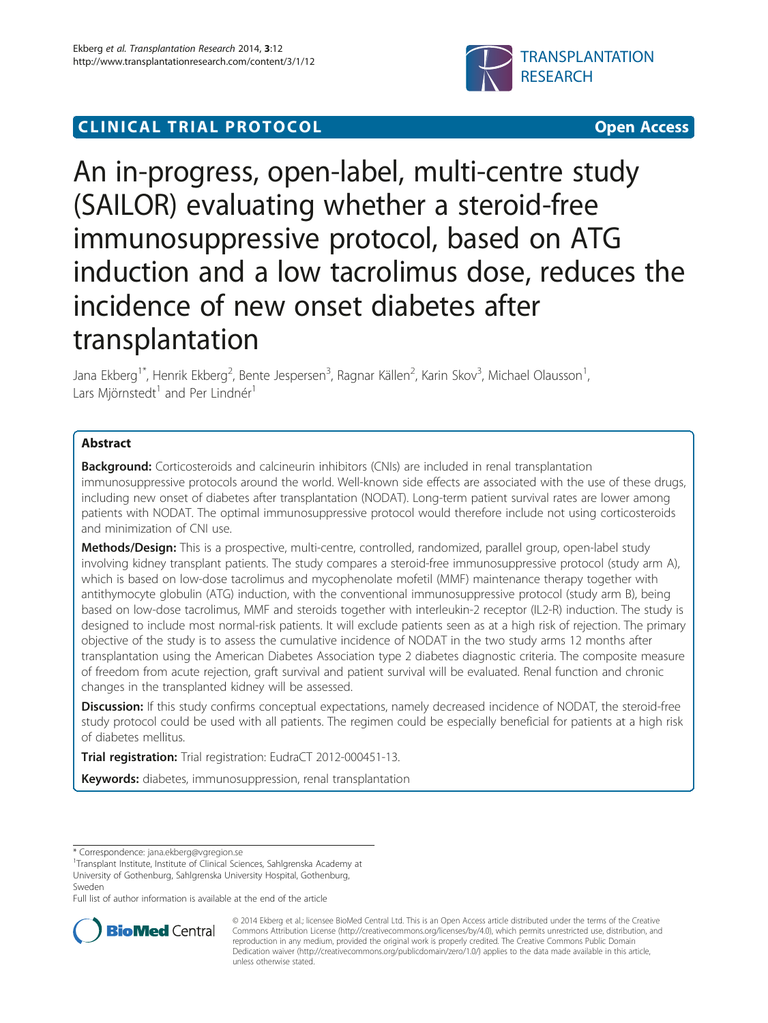## **TRANSPLANTATION RESEARCH**

## **CLINICAL TRIAL PROTOCOL CLINICAL TRIAL PROTOCOL**



# An in-progress, open-label, multi-centre study (SAILOR) evaluating whether a steroid-free immunosuppressive protocol, based on ATG induction and a low tacrolimus dose, reduces the incidence of new onset diabetes after transplantation

Jana Ekberg<sup>1\*</sup>, Henrik Ekberg<sup>2</sup>, Bente Jespersen<sup>3</sup>, Ragnar Källen<sup>2</sup>, Karin Skov<sup>3</sup>, Michael Olausson<sup>1</sup> , Lars Mjörnstedt<sup>1</sup> and Per Lindnér<sup>1</sup>

### Abstract

**Background:** Corticosteroids and calcineurin inhibitors (CNIs) are included in renal transplantation immunosuppressive protocols around the world. Well-known side effects are associated with the use of these drugs, including new onset of diabetes after transplantation (NODAT). Long-term patient survival rates are lower among patients with NODAT. The optimal immunosuppressive protocol would therefore include not using corticosteroids and minimization of CNI use.

**Methods/Design:** This is a prospective, multi-centre, controlled, randomized, parallel group, open-label study involving kidney transplant patients. The study compares a steroid-free immunosuppressive protocol (study arm A), which is based on low-dose tacrolimus and mycophenolate mofetil (MMF) maintenance therapy together with antithymocyte globulin (ATG) induction, with the conventional immunosuppressive protocol (study arm B), being based on low-dose tacrolimus, MMF and steroids together with interleukin-2 receptor (IL2-R) induction. The study is designed to include most normal-risk patients. It will exclude patients seen as at a high risk of rejection. The primary objective of the study is to assess the cumulative incidence of NODAT in the two study arms 12 months after transplantation using the American Diabetes Association type 2 diabetes diagnostic criteria. The composite measure of freedom from acute rejection, graft survival and patient survival will be evaluated. Renal function and chronic changes in the transplanted kidney will be assessed.

Discussion: If this study confirms conceptual expectations, namely decreased incidence of NODAT, the steroid-free study protocol could be used with all patients. The regimen could be especially beneficial for patients at a high risk of diabetes mellitus.

Trial registration: Trial registration: [EudraCT 2012-000451-13.](https://www.clinicaltrialsregister.eu/ctr-search/trial/2012-000451-13/DK)

**Keywords:** diabetes, immunosuppression, renal transplantation

\* Correspondence: [jana.ekberg@vgregion.se](mailto:jana.ekberg@vgregion.se) <sup>1</sup>

Full list of author information is available at the end of the article



© 2014 Ekberg et al.; licensee BioMed Central Ltd. This is an Open Access article distributed under the terms of the Creative Commons Attribution License [\(http://creativecommons.org/licenses/by/4.0\)](http://creativecommons.org/licenses/by/4.0), which permits unrestricted use, distribution, and reproduction in any medium, provided the original work is properly credited. The Creative Commons Public Domain Dedication waiver [\(http://creativecommons.org/publicdomain/zero/1.0/](http://creativecommons.org/publicdomain/zero/1.0/)) applies to the data made available in this article, unless otherwise stated.

<sup>&</sup>lt;sup>1</sup>Transplant Institute, Institute of Clinical Sciences, Sahlgrenska Academy at University of Gothenburg, Sahlgrenska University Hospital, Gothenburg, Sweden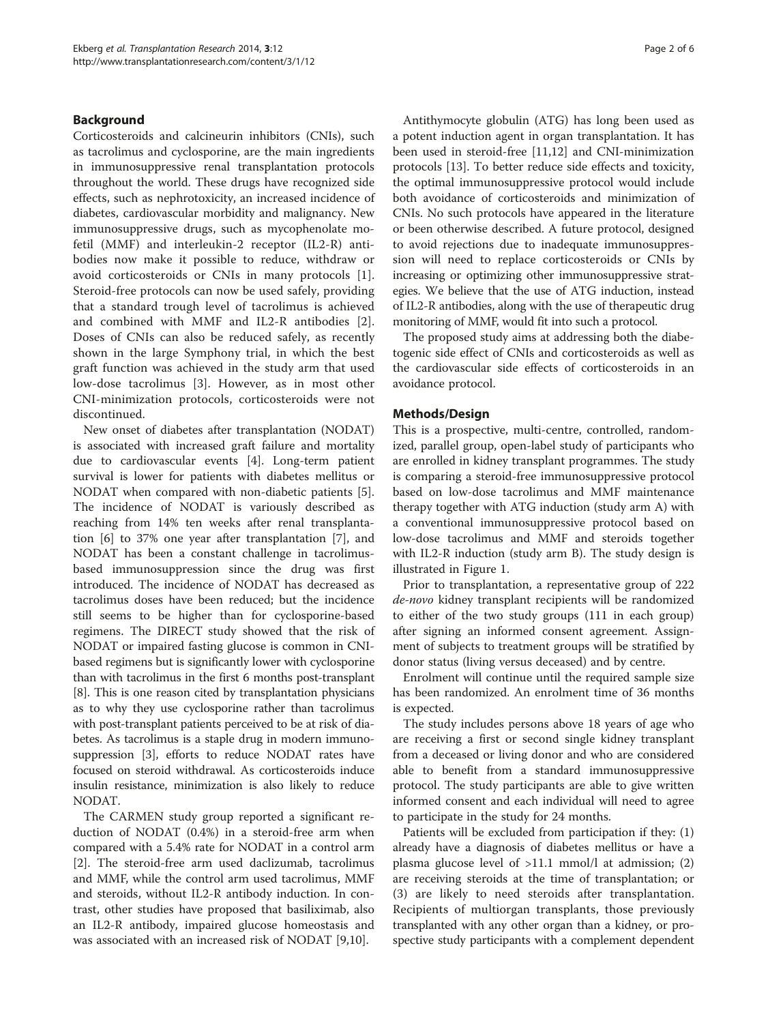#### **Background**

Corticosteroids and calcineurin inhibitors (CNIs), such as tacrolimus and cyclosporine, are the main ingredients in immunosuppressive renal transplantation protocols throughout the world. These drugs have recognized side effects, such as nephrotoxicity, an increased incidence of diabetes, cardiovascular morbidity and malignancy. New immunosuppressive drugs, such as mycophenolate mofetil (MMF) and interleukin-2 receptor (IL2-R) antibodies now make it possible to reduce, withdraw or avoid corticosteroids or CNIs in many protocols [\[1](#page-4-0)]. Steroid-free protocols can now be used safely, providing that a standard trough level of tacrolimus is achieved and combined with MMF and IL2-R antibodies [\[2](#page-4-0)]. Doses of CNIs can also be reduced safely, as recently shown in the large Symphony trial, in which the best graft function was achieved in the study arm that used low-dose tacrolimus [[3\]](#page-5-0). However, as in most other CNI-minimization protocols, corticosteroids were not discontinued.

New onset of diabetes after transplantation (NODAT) is associated with increased graft failure and mortality due to cardiovascular events [[4\]](#page-5-0). Long-term patient survival is lower for patients with diabetes mellitus or NODAT when compared with non-diabetic patients [\[5](#page-5-0)]. The incidence of NODAT is variously described as reaching from 14% ten weeks after renal transplantation [[6\]](#page-5-0) to 37% one year after transplantation [[7\]](#page-5-0), and NODAT has been a constant challenge in tacrolimusbased immunosuppression since the drug was first introduced. The incidence of NODAT has decreased as tacrolimus doses have been reduced; but the incidence still seems to be higher than for cyclosporine-based regimens. The DIRECT study showed that the risk of NODAT or impaired fasting glucose is common in CNIbased regimens but is significantly lower with cyclosporine than with tacrolimus in the first 6 months post-transplant [[8\]](#page-5-0). This is one reason cited by transplantation physicians as to why they use cyclosporine rather than tacrolimus with post-transplant patients perceived to be at risk of diabetes. As tacrolimus is a staple drug in modern immunosuppression [\[3\]](#page-5-0), efforts to reduce NODAT rates have focused on steroid withdrawal. As corticosteroids induce insulin resistance, minimization is also likely to reduce NODAT.

The CARMEN study group reported a significant reduction of NODAT (0.4%) in a steroid-free arm when compared with a 5.4% rate for NODAT in a control arm [[2\]](#page-4-0). The steroid-free arm used daclizumab, tacrolimus and MMF, while the control arm used tacrolimus, MMF and steroids, without IL2-R antibody induction. In contrast, other studies have proposed that basiliximab, also an IL2-R antibody, impaired glucose homeostasis and was associated with an increased risk of NODAT [[9,10\]](#page-5-0).

Antithymocyte globulin (ATG) has long been used as a potent induction agent in organ transplantation. It has been used in steroid-free [[11](#page-5-0),[12](#page-5-0)] and CNI-minimization protocols [\[13\]](#page-5-0). To better reduce side effects and toxicity, the optimal immunosuppressive protocol would include both avoidance of corticosteroids and minimization of CNIs. No such protocols have appeared in the literature or been otherwise described. A future protocol, designed to avoid rejections due to inadequate immunosuppression will need to replace corticosteroids or CNIs by increasing or optimizing other immunosuppressive strategies. We believe that the use of ATG induction, instead of IL2-R antibodies, along with the use of therapeutic drug monitoring of MMF, would fit into such a protocol.

The proposed study aims at addressing both the diabetogenic side effect of CNIs and corticosteroids as well as the cardiovascular side effects of corticosteroids in an avoidance protocol.

#### Methods/Design

This is a prospective, multi-centre, controlled, randomized, parallel group, open-label study of participants who are enrolled in kidney transplant programmes. The study is comparing a steroid-free immunosuppressive protocol based on low-dose tacrolimus and MMF maintenance therapy together with ATG induction (study arm A) with a conventional immunosuppressive protocol based on low-dose tacrolimus and MMF and steroids together with IL2-R induction (study arm B). The study design is illustrated in Figure [1](#page-2-0).

Prior to transplantation, a representative group of 222 de-novo kidney transplant recipients will be randomized to either of the two study groups (111 in each group) after signing an informed consent agreement. Assignment of subjects to treatment groups will be stratified by donor status (living versus deceased) and by centre.

Enrolment will continue until the required sample size has been randomized. An enrolment time of 36 months is expected.

The study includes persons above 18 years of age who are receiving a first or second single kidney transplant from a deceased or living donor and who are considered able to benefit from a standard immunosuppressive protocol. The study participants are able to give written informed consent and each individual will need to agree to participate in the study for 24 months.

Patients will be excluded from participation if they: (1) already have a diagnosis of diabetes mellitus or have a plasma glucose level of >11.1 mmol/l at admission; (2) are receiving steroids at the time of transplantation; or (3) are likely to need steroids after transplantation. Recipients of multiorgan transplants, those previously transplanted with any other organ than a kidney, or prospective study participants with a complement dependent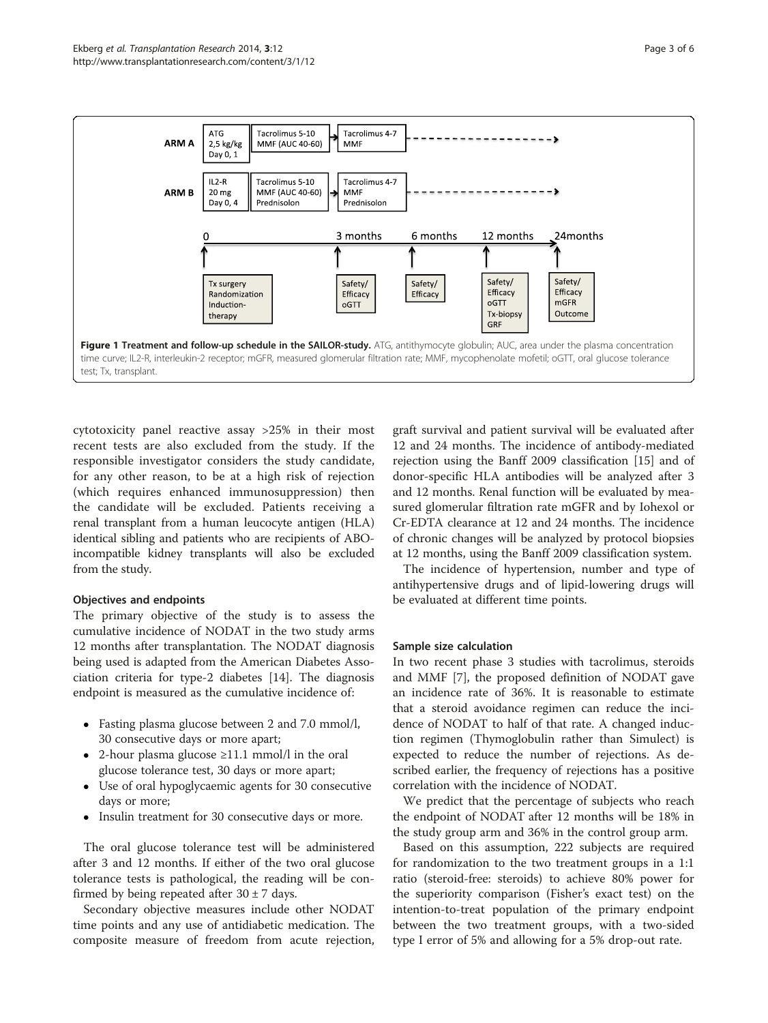<span id="page-2-0"></span>

cytotoxicity panel reactive assay >25% in their most recent tests are also excluded from the study. If the responsible investigator considers the study candidate, for any other reason, to be at a high risk of rejection (which requires enhanced immunosuppression) then the candidate will be excluded. Patients receiving a renal transplant from a human leucocyte antigen (HLA) identical sibling and patients who are recipients of ABOincompatible kidney transplants will also be excluded from the study.

#### Objectives and endpoints

The primary objective of the study is to assess the cumulative incidence of NODAT in the two study arms 12 months after transplantation. The NODAT diagnosis being used is adapted from the American Diabetes Association criteria for type-2 diabetes [[14](#page-5-0)]. The diagnosis endpoint is measured as the cumulative incidence of:

- Fasting plasma glucose between 2 and 7.0 mmol/l, 30 consecutive days or more apart;
- 2-hour plasma glucose ≥11.1 mmol/l in the oral glucose tolerance test, 30 days or more apart;
- Use of oral hypoglycaemic agents for 30 consecutive days or more;
- Insulin treatment for 30 consecutive days or more.

The oral glucose tolerance test will be administered after 3 and 12 months. If either of the two oral glucose tolerance tests is pathological, the reading will be confirmed by being repeated after  $30 \pm 7$  days.

Secondary objective measures include other NODAT time points and any use of antidiabetic medication. The composite measure of freedom from acute rejection, graft survival and patient survival will be evaluated after 12 and 24 months. The incidence of antibody-mediated rejection using the Banff 2009 classification [[15\]](#page-5-0) and of donor-specific HLA antibodies will be analyzed after 3 and 12 months. Renal function will be evaluated by measured glomerular filtration rate mGFR and by Iohexol or Cr-EDTA clearance at 12 and 24 months. The incidence of chronic changes will be analyzed by protocol biopsies at 12 months, using the Banff 2009 classification system.

The incidence of hypertension, number and type of antihypertensive drugs and of lipid-lowering drugs will be evaluated at different time points.

#### Sample size calculation

In two recent phase 3 studies with tacrolimus, steroids and MMF [\[7](#page-5-0)], the proposed definition of NODAT gave an incidence rate of 36%. It is reasonable to estimate that a steroid avoidance regimen can reduce the incidence of NODAT to half of that rate. A changed induction regimen (Thymoglobulin rather than Simulect) is expected to reduce the number of rejections. As described earlier, the frequency of rejections has a positive correlation with the incidence of NODAT.

We predict that the percentage of subjects who reach the endpoint of NODAT after 12 months will be 18% in the study group arm and 36% in the control group arm.

Based on this assumption, 222 subjects are required for randomization to the two treatment groups in a 1:1 ratio (steroid-free: steroids) to achieve 80% power for the superiority comparison (Fisher's exact test) on the intention-to-treat population of the primary endpoint between the two treatment groups, with a two-sided type I error of 5% and allowing for a 5% drop-out rate.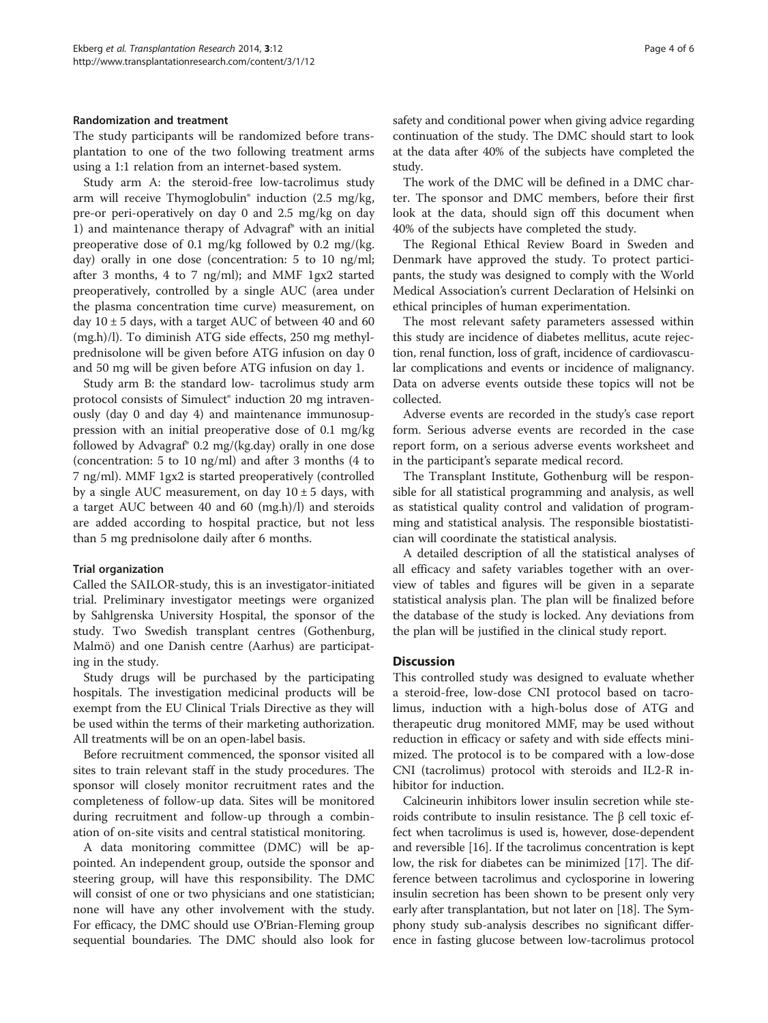#### Randomization and treatment

The study participants will be randomized before transplantation to one of the two following treatment arms using a 1:1 relation from an internet-based system.

Study arm A: the steroid-free low-tacrolimus study arm will receive Thymoglobulin® induction (2.5 mg/kg, pre-or peri-operatively on day 0 and 2.5 mg/kg on day 1) and maintenance therapy of Advagraf® with an initial preoperative dose of 0.1 mg/kg followed by 0.2 mg/(kg. day) orally in one dose (concentration: 5 to 10 ng/ml; after 3 months, 4 to 7 ng/ml); and MMF 1gx2 started preoperatively, controlled by a single AUC (area under the plasma concentration time curve) measurement, on day  $10 \pm 5$  days, with a target AUC of between 40 and 60 (mg.h)/l). To diminish ATG side effects, 250 mg methylprednisolone will be given before ATG infusion on day 0 and 50 mg will be given before ATG infusion on day 1.

Study arm B: the standard low- tacrolimus study arm protocol consists of Simulect<sup>®</sup> induction 20 mg intravenously (day 0 and day 4) and maintenance immunosuppression with an initial preoperative dose of 0.1 mg/kg followed by Advagraf® 0.2 mg/(kg.day) orally in one dose (concentration: 5 to 10 ng/ml) and after 3 months (4 to 7 ng/ml). MMF 1gx2 is started preoperatively (controlled by a single AUC measurement, on day  $10 \pm 5$  days, with a target AUC between 40 and 60 (mg.h)/l) and steroids are added according to hospital practice, but not less than 5 mg prednisolone daily after 6 months.

#### Trial organization

Called the SAILOR-study, this is an investigator-initiated trial. Preliminary investigator meetings were organized by Sahlgrenska University Hospital, the sponsor of the study. Two Swedish transplant centres (Gothenburg, Malmö) and one Danish centre (Aarhus) are participating in the study.

Study drugs will be purchased by the participating hospitals. The investigation medicinal products will be exempt from the EU Clinical Trials Directive as they will be used within the terms of their marketing authorization. All treatments will be on an open-label basis.

Before recruitment commenced, the sponsor visited all sites to train relevant staff in the study procedures. The sponsor will closely monitor recruitment rates and the completeness of follow-up data. Sites will be monitored during recruitment and follow-up through a combination of on-site visits and central statistical monitoring.

A data monitoring committee (DMC) will be appointed. An independent group, outside the sponsor and steering group, will have this responsibility. The DMC will consist of one or two physicians and one statistician; none will have any other involvement with the study. For efficacy, the DMC should use O'Brian-Fleming group sequential boundaries. The DMC should also look for safety and conditional power when giving advice regarding continuation of the study. The DMC should start to look at the data after 40% of the subjects have completed the study.

The work of the DMC will be defined in a DMC charter. The sponsor and DMC members, before their first look at the data, should sign off this document when 40% of the subjects have completed the study.

The Regional Ethical Review Board in Sweden and Denmark have approved the study. To protect participants, the study was designed to comply with the World Medical Association's current Declaration of Helsinki on ethical principles of human experimentation.

The most relevant safety parameters assessed within this study are incidence of diabetes mellitus, acute rejection, renal function, loss of graft, incidence of cardiovascular complications and events or incidence of malignancy. Data on adverse events outside these topics will not be collected.

Adverse events are recorded in the study's case report form. Serious adverse events are recorded in the case report form, on a serious adverse events worksheet and in the participant's separate medical record.

The Transplant Institute, Gothenburg will be responsible for all statistical programming and analysis, as well as statistical quality control and validation of programming and statistical analysis. The responsible biostatistician will coordinate the statistical analysis.

A detailed description of all the statistical analyses of all efficacy and safety variables together with an overview of tables and figures will be given in a separate statistical analysis plan. The plan will be finalized before the database of the study is locked. Any deviations from the plan will be justified in the clinical study report.

#### **Discussion**

This controlled study was designed to evaluate whether a steroid-free, low-dose CNI protocol based on tacrolimus, induction with a high-bolus dose of ATG and therapeutic drug monitored MMF, may be used without reduction in efficacy or safety and with side effects minimized. The protocol is to be compared with a low-dose CNI (tacrolimus) protocol with steroids and IL2-R inhibitor for induction.

Calcineurin inhibitors lower insulin secretion while steroids contribute to insulin resistance. The β cell toxic effect when tacrolimus is used is, however, dose-dependent and reversible [[16](#page-5-0)]. If the tacrolimus concentration is kept low, the risk for diabetes can be minimized [\[17\]](#page-5-0). The difference between tacrolimus and cyclosporine in lowering insulin secretion has been shown to be present only very early after transplantation, but not later on [\[18](#page-5-0)]. The Symphony study sub-analysis describes no significant difference in fasting glucose between low-tacrolimus protocol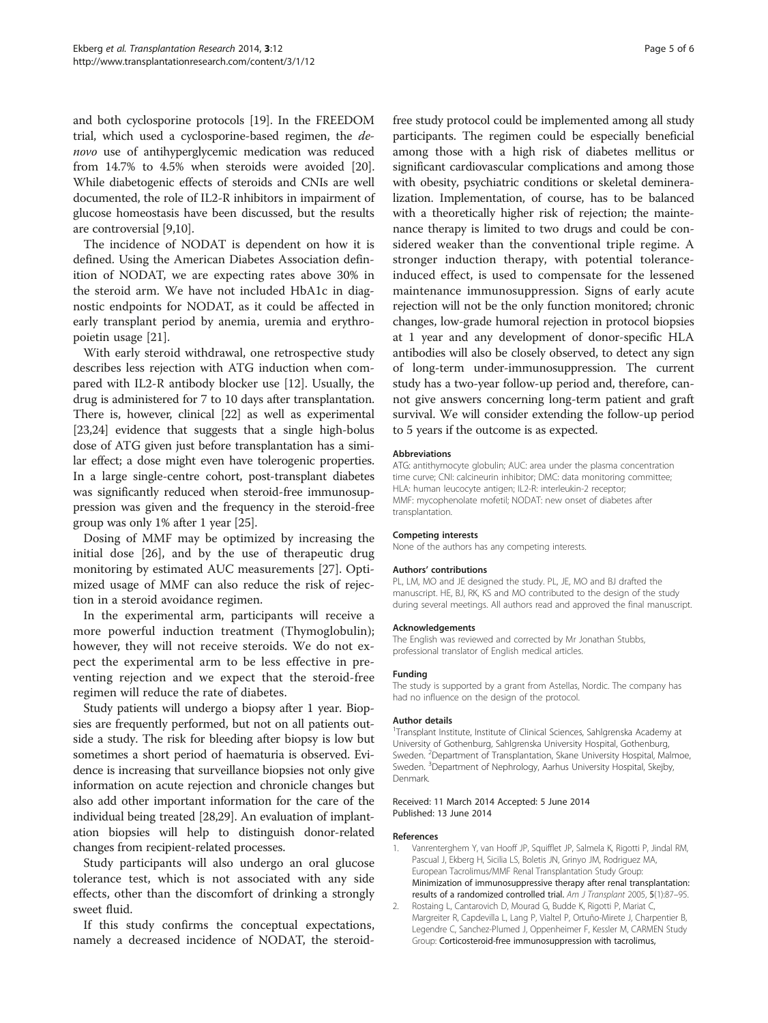<span id="page-4-0"></span>and both cyclosporine protocols [[19](#page-5-0)]. In the FREEDOM trial, which used a cyclosporine-based regimen, the denovo use of antihyperglycemic medication was reduced from 14.7% to 4.5% when steroids were avoided [[20](#page-5-0)]. While diabetogenic effects of steroids and CNIs are well documented, the role of IL2-R inhibitors in impairment of glucose homeostasis have been discussed, but the results are controversial [\[9,10](#page-5-0)].

The incidence of NODAT is dependent on how it is defined. Using the American Diabetes Association definition of NODAT, we are expecting rates above 30% in the steroid arm. We have not included HbA1c in diagnostic endpoints for NODAT, as it could be affected in early transplant period by anemia, uremia and erythropoietin usage [[21\]](#page-5-0).

With early steroid withdrawal, one retrospective study describes less rejection with ATG induction when compared with IL2-R antibody blocker use [[12](#page-5-0)]. Usually, the drug is administered for 7 to 10 days after transplantation. There is, however, clinical [\[22\]](#page-5-0) as well as experimental [[23,24](#page-5-0)] evidence that suggests that a single high-bolus dose of ATG given just before transplantation has a similar effect; a dose might even have tolerogenic properties. In a large single-centre cohort, post-transplant diabetes was significantly reduced when steroid-free immunosuppression was given and the frequency in the steroid-free group was only 1% after 1 year [[25](#page-5-0)].

Dosing of MMF may be optimized by increasing the initial dose [[26\]](#page-5-0), and by the use of therapeutic drug monitoring by estimated AUC measurements [\[27\]](#page-5-0). Optimized usage of MMF can also reduce the risk of rejection in a steroid avoidance regimen.

In the experimental arm, participants will receive a more powerful induction treatment (Thymoglobulin); however, they will not receive steroids. We do not expect the experimental arm to be less effective in preventing rejection and we expect that the steroid-free regimen will reduce the rate of diabetes.

Study patients will undergo a biopsy after 1 year. Biopsies are frequently performed, but not on all patients outside a study. The risk for bleeding after biopsy is low but sometimes a short period of haematuria is observed. Evidence is increasing that surveillance biopsies not only give information on acute rejection and chronicle changes but also add other important information for the care of the individual being treated [\[28,29\]](#page-5-0). An evaluation of implantation biopsies will help to distinguish donor-related changes from recipient-related processes.

Study participants will also undergo an oral glucose tolerance test, which is not associated with any side effects, other than the discomfort of drinking a strongly sweet fluid.

If this study confirms the conceptual expectations, namely a decreased incidence of NODAT, the steroidfree study protocol could be implemented among all study participants. The regimen could be especially beneficial among those with a high risk of diabetes mellitus or significant cardiovascular complications and among those with obesity, psychiatric conditions or skeletal demineralization. Implementation, of course, has to be balanced with a theoretically higher risk of rejection; the maintenance therapy is limited to two drugs and could be considered weaker than the conventional triple regime. A stronger induction therapy, with potential toleranceinduced effect, is used to compensate for the lessened maintenance immunosuppression. Signs of early acute rejection will not be the only function monitored; chronic changes, low-grade humoral rejection in protocol biopsies at 1 year and any development of donor-specific HLA antibodies will also be closely observed, to detect any sign of long-term under-immunosuppression. The current study has a two-year follow-up period and, therefore, cannot give answers concerning long-term patient and graft survival. We will consider extending the follow-up period to 5 years if the outcome is as expected.

#### Abbreviations

ATG: antithymocyte globulin; AUC: area under the plasma concentration time curve; CNI: calcineurin inhibitor; DMC: data monitoring committee; HLA: human leucocyte antigen; IL2-R: interleukin-2 receptor; MMF: mycophenolate mofetil; NODAT: new onset of diabetes after transplantation.

#### Competing interests

None of the authors has any competing interests.

#### Authors' contributions

PL, LM, MO and JE designed the study. PL, JE, MO and BJ drafted the manuscript. HE, BJ, RK, KS and MO contributed to the design of the study during several meetings. All authors read and approved the final manuscript.

#### Acknowledgements

The English was reviewed and corrected by Mr Jonathan Stubbs, professional translator of English medical articles.

#### Funding

The study is supported by a grant from Astellas, Nordic. The company has had no influence on the design of the protocol.

#### Author details

<sup>1</sup>Transplant Institute, Institute of Clinical Sciences, Sahlgrenska Academy at University of Gothenburg, Sahlgrenska University Hospital, Gothenburg, Sweden. <sup>2</sup>Department of Transplantation, Skane University Hospital, Malmoe, Sweden. <sup>3</sup>Department of Nephrology, Aarhus University Hospital, Skejby Denmark.

#### Received: 11 March 2014 Accepted: 5 June 2014 Published: 13 June 2014

#### References

- 1. Vanrenterghem Y, van Hooff JP, Squifflet JP, Salmela K, Rigotti P, Jindal RM, Pascual J, Ekberg H, Sicilia LS, Boletis JN, Grinyo JM, Rodriguez MA, European Tacrolimus/MMF Renal Transplantation Study Group: Minimization of immunosuppressive therapy after renal transplantation: results of a randomized controlled trial. Am J Transplant 2005, 5(1):87–95.
- 2. Rostaing L, Cantarovich D, Mourad G, Budde K, Rigotti P, Mariat C, Margreiter R, Capdevilla L, Lang P, Vialtel P, Ortuño-Mirete J, Charpentier B, Legendre C, Sanchez-Plumed J, Oppenheimer F, Kessler M, CARMEN Study Group: Corticosteroid-free immunosuppression with tacrolimus,